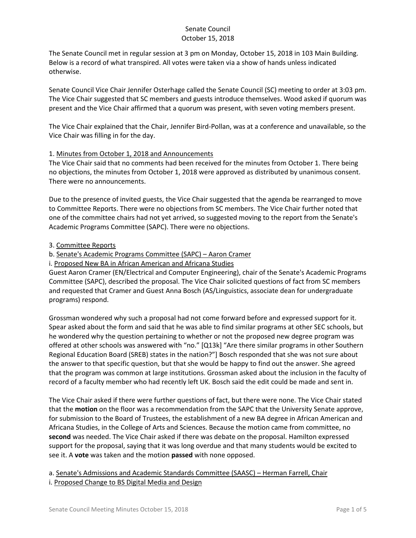The Senate Council met in regular session at 3 pm on Monday, October 15, 2018 in 103 Main Building. Below is a record of what transpired. All votes were taken via a show of hands unless indicated otherwise.

Senate Council Vice Chair Jennifer Osterhage called the Senate Council (SC) meeting to order at 3:03 pm. The Vice Chair suggested that SC members and guests introduce themselves. Wood asked if quorum was present and the Vice Chair affirmed that a quorum was present, with seven voting members present.

The Vice Chair explained that the Chair, Jennifer Bird-Pollan, was at a conference and unavailable, so the Vice Chair was filling in for the day.

### 1. Minutes from October 1, 2018 and Announcements

The Vice Chair said that no comments had been received for the minutes from October 1. There being no objections, the minutes from October 1, 2018 were approved as distributed by unanimous consent. There were no announcements.

Due to the presence of invited guests, the Vice Chair suggested that the agenda be rearranged to move to Committee Reports. There were no objections from SC members. The Vice Chair further noted that one of the committee chairs had not yet arrived, so suggested moving to the report from the Senate's Academic Programs Committee (SAPC). There were no objections.

### 3. Committee Reports

b. Senate's Academic Programs Committee (SAPC) – Aaron Cramer

i. Proposed New BA in African American and Africana Studies

Guest Aaron Cramer (EN/Electrical and Computer Engineering), chair of the Senate's Academic Programs Committee (SAPC), described the proposal. The Vice Chair solicited questions of fact from SC members and requested that Cramer and Guest Anna Bosch (AS/Linguistics, associate dean for undergraduate programs) respond.

Grossman wondered why such a proposal had not come forward before and expressed support for it. Spear asked about the form and said that he was able to find similar programs at other SEC schools, but he wondered why the question pertaining to whether or not the proposed new degree program was offered at other schools was answered with "no." [Q13k] "Are there similar programs in other Southern Regional Education Board (SREB) states in the nation?"] Bosch responded that she was not sure about the answer to that specific question, but that she would be happy to find out the answer. She agreed that the program was common at large institutions. Grossman asked about the inclusion in the faculty of record of a faculty member who had recently left UK. Bosch said the edit could be made and sent in.

The Vice Chair asked if there were further questions of fact, but there were none. The Vice Chair stated that the **motion** on the floor was a recommendation from the SAPC that the University Senate approve, for submission to the Board of Trustees, the establishment of a new BA degree in African American and Africana Studies, in the College of Arts and Sciences. Because the motion came from committee, no **second** was needed. The Vice Chair asked if there was debate on the proposal. Hamilton expressed support for the proposal, saying that it was long overdue and that many students would be excited to see it. A **vote** was taken and the motion **passed** with none opposed.

a. Senate's Admissions and Academic Standards Committee (SAASC) – Herman Farrell, Chair i. Proposed Change to BS Digital Media and Design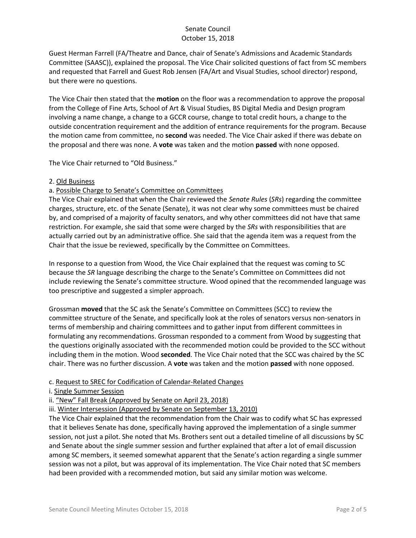Guest Herman Farrell (FA/Theatre and Dance, chair of Senate's Admissions and Academic Standards Committee (SAASC)), explained the proposal. The Vice Chair solicited questions of fact from SC members and requested that Farrell and Guest Rob Jensen (FA/Art and Visual Studies, school director) respond, but there were no questions.

The Vice Chair then stated that the **motion** on the floor was a recommendation to approve the proposal from the College of Fine Arts, School of Art & Visual Studies, BS Digital Media and Design program involving a name change, a change to a GCCR course, change to total credit hours, a change to the outside concentration requirement and the addition of entrance requirements for the program. Because the motion came from committee, no **second** was needed. The Vice Chair asked if there was debate on the proposal and there was none. A **vote** was taken and the motion **passed** with none opposed.

The Vice Chair returned to "Old Business."

#### 2. Old Business

# a. Possible Charge to Senate's Committee on Committees

The Vice Chair explained that when the Chair reviewed the *Senate Rules* (*SRs*) regarding the committee charges, structure, etc. of the Senate (Senate), it was not clear why some committees must be chaired by, and comprised of a majority of faculty senators, and why other committees did not have that same restriction. For example, she said that some were charged by the *SRs* with responsibilities that are actually carried out by an administrative office. She said that the agenda item was a request from the Chair that the issue be reviewed, specifically by the Committee on Committees.

In response to a question from Wood, the Vice Chair explained that the request was coming to SC because the *SR* language describing the charge to the Senate's Committee on Committees did not include reviewing the Senate's committee structure. Wood opined that the recommended language was too prescriptive and suggested a simpler approach.

Grossman **moved** that the SC ask the Senate's Committee on Committees (SCC) to review the committee structure of the Senate, and specifically look at the roles of senators versus non-senators in terms of membership and chairing committees and to gather input from different committees in formulating any recommendations. Grossman responded to a comment from Wood by suggesting that the questions originally associated with the recommended motion could be provided to the SCC without including them in the motion. Wood **seconded**. The Vice Chair noted that the SCC was chaired by the SC chair. There was no further discussion. A **vote** was taken and the motion **passed** with none opposed.

#### c. Request to SREC for Codification of Calendar-Related Changes

i. Single Summer Session

ii. "New" Fall Break (Approved by Senate on April 23, 2018)

iii. Winter Intersession (Approved by Senate on September 13, 2010)

The Vice Chair explained that the recommendation from the Chair was to codify what SC has expressed that it believes Senate has done, specifically having approved the implementation of a single summer session, not just a pilot. She noted that Ms. Brothers sent out a detailed timeline of all discussions by SC and Senate about the single summer session and further explained that after a lot of email discussion among SC members, it seemed somewhat apparent that the Senate's action regarding a single summer session was not a pilot, but was approval of its implementation. The Vice Chair noted that SC members had been provided with a recommended motion, but said any similar motion was welcome.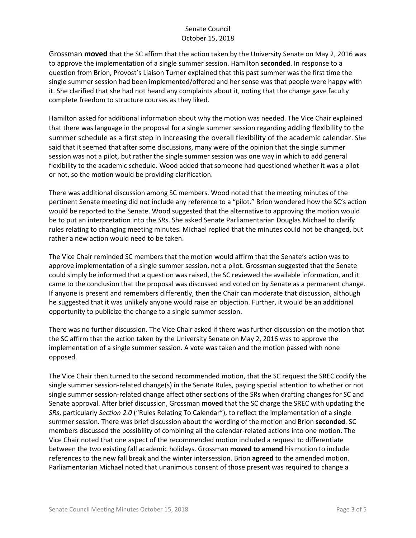Grossman **moved** that the SC affirm that the action taken by the University Senate on May 2, 2016 was to approve the implementation of a single summer session. Hamilton **seconded**. In response to a question from Brion, Provost's Liaison Turner explained that this past summer was the first time the single summer session had been implemented/offered and her sense was that people were happy with it. She clarified that she had not heard any complaints about it, noting that the change gave faculty complete freedom to structure courses as they liked.

Hamilton asked for additional information about why the motion was needed. The Vice Chair explained that there was language in the proposal for a single summer session regarding adding flexibility to the summer schedule as a first step in increasing the overall flexibility of the academic calendar. She said that it seemed that after some discussions, many were of the opinion that the single summer session was not a pilot, but rather the single summer session was one way in which to add general flexibility to the academic schedule. Wood added that someone had questioned whether it was a pilot or not, so the motion would be providing clarification.

There was additional discussion among SC members. Wood noted that the meeting minutes of the pertinent Senate meeting did not include any reference to a "pilot." Brion wondered how the SC's action would be reported to the Senate. Wood suggested that the alternative to approving the motion would be to put an interpretation into the *SRs*. She asked Senate Parliamentarian Douglas Michael to clarify rules relating to changing meeting minutes. Michael replied that the minutes could not be changed, but rather a new action would need to be taken.

The Vice Chair reminded SC members that the motion would affirm that the Senate's action was to approve implementation of a single summer session, not a pilot. Grossman suggested that the Senate could simply be informed that a question was raised, the SC reviewed the available information, and it came to the conclusion that the proposal was discussed and voted on by Senate as a permanent change. If anyone is present and remembers differently, then the Chair can moderate that discussion, although he suggested that it was unlikely anyone would raise an objection. Further, it would be an additional opportunity to publicize the change to a single summer session.

There was no further discussion. The Vice Chair asked if there was further discussion on the motion that the SC affirm that the action taken by the University Senate on May 2, 2016 was to approve the implementation of a single summer session. A vote was taken and the motion passed with none opposed.

The Vice Chair then turned to the second recommended motion, that the SC request the SREC codify the single summer session-related change(s) in the Senate Rules, paying special attention to whether or not single summer session-related change affect other sections of the SRs when drafting changes for SC and Senate approval. After brief discussion, Grossman **moved** that the SC charge the SREC with updating the *SRs*, particularly *Section 2.0* ("Rules Relating To Calendar"), to reflect the implementation of a single summer session. There was brief discussion about the wording of the motion and Brion **seconded**. SC members discussed the possibility of combining all the calendar-related actions into one motion. The Vice Chair noted that one aspect of the recommended motion included a request to differentiate between the two existing fall academic holidays. Grossman **moved to amend** his motion to include references to the new fall break and the winter intersession. Brion **agreed** to the amended motion. Parliamentarian Michael noted that unanimous consent of those present was required to change a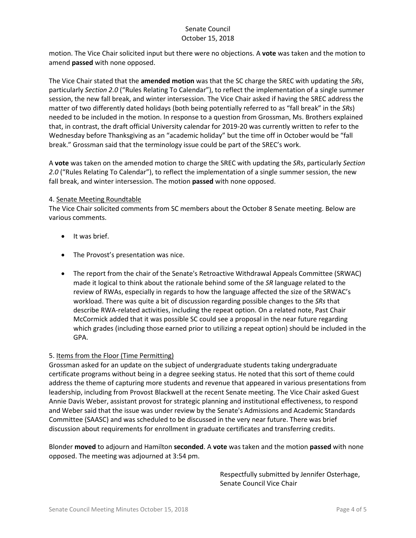motion. The Vice Chair solicited input but there were no objections. A **vote** was taken and the motion to amend **passed** with none opposed.

The Vice Chair stated that the **amended motion** was that the SC charge the SREC with updating the *SRs*, particularly *Section 2.0* ("Rules Relating To Calendar"), to reflect the implementation of a single summer session, the new fall break, and winter intersession. The Vice Chair asked if having the SREC address the matter of two differently dated holidays (both being potentially referred to as "fall break" in the *SRs*) needed to be included in the motion. In response to a question from Grossman, Ms. Brothers explained that, in contrast, the draft official University calendar for 2019-20 was currently written to refer to the Wednesday before Thanksgiving as an "academic holiday" but the time off in October would be "fall break." Grossman said that the terminology issue could be part of the SREC's work.

A **vote** was taken on the amended motion to charge the SREC with updating the *SRs*, particularly *Section 2.0* ("Rules Relating To Calendar"), to reflect the implementation of a single summer session, the new fall break, and winter intersession. The motion **passed** with none opposed.

#### 4. Senate Meeting Roundtable

The Vice Chair solicited comments from SC members about the October 8 Senate meeting. Below are various comments.

- It was brief.
- The Provost's presentation was nice.
- The report from the chair of the Senate's Retroactive Withdrawal Appeals Committee (SRWAC) made it logical to think about the rationale behind some of the *SR* language related to the review of RWAs, especially in regards to how the language affected the size of the SRWAC's workload. There was quite a bit of discussion regarding possible changes to the *SRs* that describe RWA-related activities, including the repeat option. On a related note, Past Chair McCormick added that it was possible SC could see a proposal in the near future regarding which grades (including those earned prior to utilizing a repeat option) should be included in the GPA.

#### 5. Items from the Floor (Time Permitting)

Grossman asked for an update on the subject of undergraduate students taking undergraduate certificate programs without being in a degree seeking status. He noted that this sort of theme could address the theme of capturing more students and revenue that appeared in various presentations from leadership, including from Provost Blackwell at the recent Senate meeting. The Vice Chair asked Guest Annie Davis Weber, assistant provost for strategic planning and institutional effectiveness, to respond and Weber said that the issue was under review by the Senate's Admissions and Academic Standards Committee (SAASC) and was scheduled to be discussed in the very near future. There was brief discussion about requirements for enrollment in graduate certificates and transferring credits.

Blonder **moved** to adjourn and Hamilton **seconded**. A **vote** was taken and the motion **passed** with none opposed. The meeting was adjourned at 3:54 pm.

> Respectfully submitted by Jennifer Osterhage, Senate Council Vice Chair